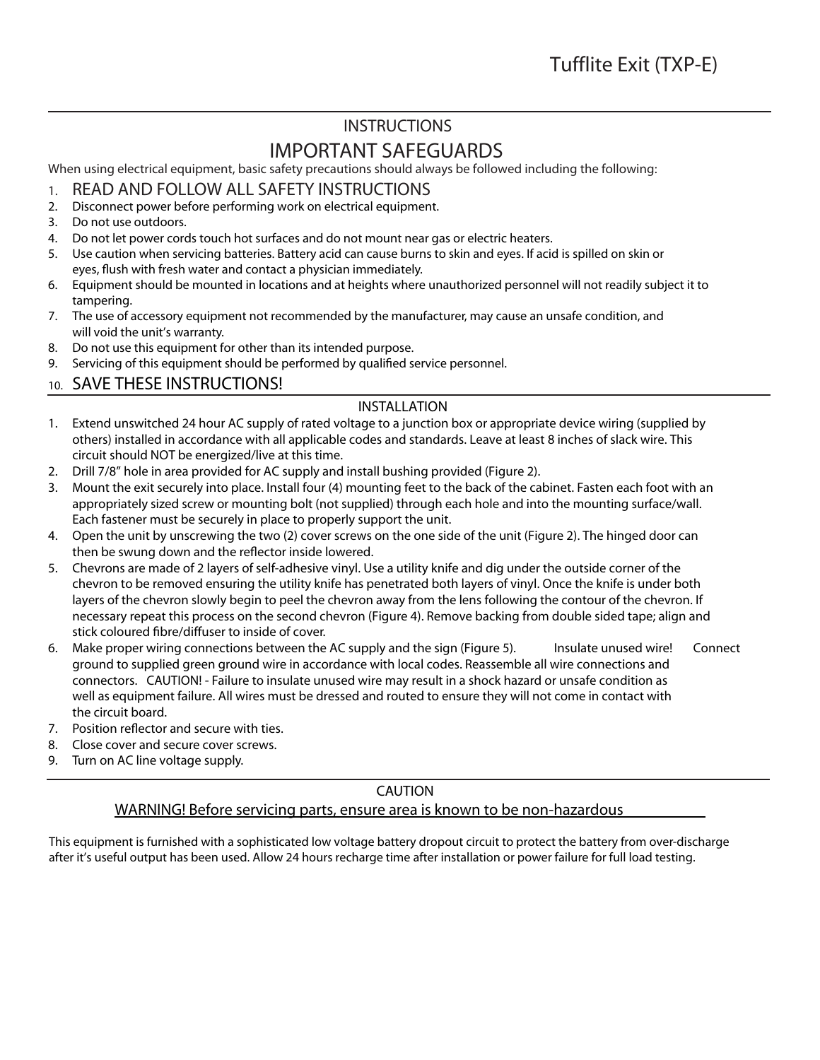## **INSTRUCTIONS**

# **IMPORTANT SAFEGUARDS**

When using electrical equipment, basic safety precautions should always be followed including the following:

- 1. **READ AND FOLLOW ALL SAFETY INSTRUCTIONS**
- 2. Disconnect power before performing work on electrical equipment.
- 3. Do not use outdoors.
- 4. Do not let power cords touch hot surfaces and do not mount near gas or electric heaters.
- 5. Use caution when servicing batteries. Battery acid can cause burns to skin and eyes. If acid is spilled on skin or eyes, flush with fresh water and contact a physician immediately.
- 6. Equipment should be mounted in locations and at heights where unauthorized personnel will not readily subject it to tampering.
- 7. The use of accessory equipment not recommended by the manufacturer, may cause an unsafe condition, and will void the unit's warranty.
- 8. Do not use this equipment for other than its intended purpose.
- 9. Servicing of this equipment should be performed by qualified service personnel.

### 10. **SAVE THESE INSTRUCTIONS!**

#### **INSTALLATION**

- 1. Extend unswitched 24 hour AC supply of rated voltage to a junction box or appropriate device wiring (supplied by others) installed in accordance with all applicable codes and standards. Leave at least 8 inches of slack wire. This circuit should NOT be energized/live at this time.
- 2. Drill 7/8" hole in area provided for AC supply and install bushing provided (Figure 2).
- 3. Mount the exit securely into place. Install four (4) mounting feet to the back of the cabinet. Fasten each foot with an appropriately sized screw or mounting bolt (not supplied) through each hole and into the mounting surface/wall. Each fastener must be securely in place to properly support the unit.
- 4. Open the unit by unscrewing the two (2) cover screws on the one side of the unit (Figure 2). The hinged door can then be swung down and the reflector inside lowered.
- 5. Chevrons are made of 2 layers of self-adhesive vinyl. Use a utility knife and dig under the outside corner of the chevron to be removed ensuring the utility knife has penetrated both layers of vinyl. Once the knife is under both layers of the chevron slowly begin to peel the chevron away from the lens following the contour of the chevron. If necessary repeat this process on the second chevron (Figure 4). Remove backing from double sided tape; align and stick coloured fibre/diffuser to inside of cover.
- 6. Make proper wiring connections between the AC supply and the sign (Figure 5). **Insulate unused wire!** Connect ground to supplied green ground wire in accordance with local codes. Reassemble all wire connections and connectors. **CAUTION! - Failure to insulate unused wire may result in a shock hazard or unsafe condition as well as equipment failure. All wires must be dressed and routed to ensure they will not come in contact with the circuit board.**
- 7. Position reflector and secure with ties.
- 8. Close cover and secure cover screws.
- 9. Turn on AC line voltage supply.

#### **CAUTION**

#### **WARNING! Before servicing parts, ensure area is known to be non-hazardous**

This equipment is furnished with a sophisticated low voltage battery dropout circuit to protect the battery from over-discharge after it's useful output has been used. Allow 24 hours recharge time after installation or power failure for full load testing.